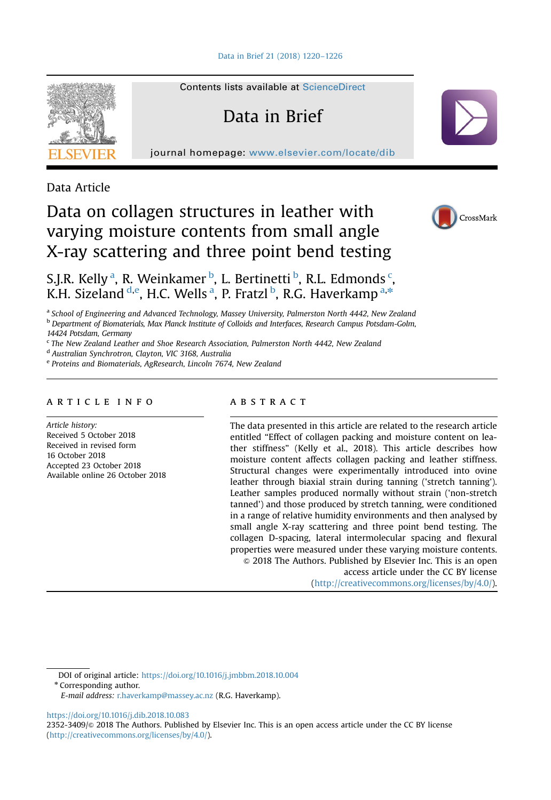

Contents lists available at [ScienceDirect](www.sciencedirect.com/science/journal/23523409)

# Data in Brief

journal homepage: <www.elsevier.com/locate/dib>

Data Article

## Data on collagen structures in leather with varying moisture contents from small angle X-ray scattering and three point bend testing



S.J.R. Kelly<sup>a</sup>, R. Weinkamer <sup>b</sup>, L. Bertinetti <sup>b</sup>, R.L. Edmonds <sup>c</sup>, K.H. Sizeland <sup>d,e</sup>, H.C. Wells <sup>a</sup>, P. Fratzl <sup>b</sup>, R.G. Haverkamp <sup>a,\*</sup>

<sup>a</sup> School of Engineering and Advanced Technology, Massey University, Palmerston North 4442, New Zealand

**b** Department of Biomaterials, Max Planck Institute of Colloids and Interfaces, Research Campus Potsdam-Golm, 14424 Potsdam, Germany

<sup>c</sup> The New Zealand Leather and Shoe Research Association, Palmerston North 4442, New Zealand

<sup>d</sup> Australian Synchrotron, Clayton, VIC 3168, Australia

<sup>e</sup> Proteins and Biomaterials, AgResearch, Lincoln 7674, New Zealand

## article info

Article history: Received 5 October 2018 Received in revised form 16 October 2018 Accepted 23 October 2018 Available online 26 October 2018

## abstract

The data presented in this article are related to the research article entitled "Effect of collagen packing and moisture content on leather stiffness" (Kelly et al., 2018). This article describes how moisture content affects collagen packing and leather stiffness. Structural changes were experimentally introduced into ovine leather through biaxial strain during tanning ('stretch tanning'). Leather samples produced normally without strain ('non-stretch tanned') and those produced by stretch tanning, were conditioned in a range of relative humidity environments and then analysed by small angle X-ray scattering and three point bend testing. The collagen D-spacing, lateral intermolecular spacing and flexural properties were measured under these varying moisture contents.  $\odot$  2018 The Authors. Published by Elsevier Inc. This is an open access article under the CC BY license

(http://creativecommons.org/licenses/by/4.0/).

DOI of original article: [https://doi.org/10.1016/j.jmbbm.2018.10.004](http://dx.doi.org/10.1016/j.jmbbm.2018.10.004)

\* Corresponding author.

E-mail address: [r.haverkamp@massey.ac.nz](mailto:r.haverkamp@massey.ac.nz) (R.G. Haverkamp).

[https://doi.org/10.1016/j.dib.2018.10.083](dx.doi.org/10.1016/j.dib.2018.10.083)

2352-3409/© 2018 The Authors. Published by Elsevier Inc. This is an open access article under the CC BY license (http://creativecommons.org/licenses/by/4.0/).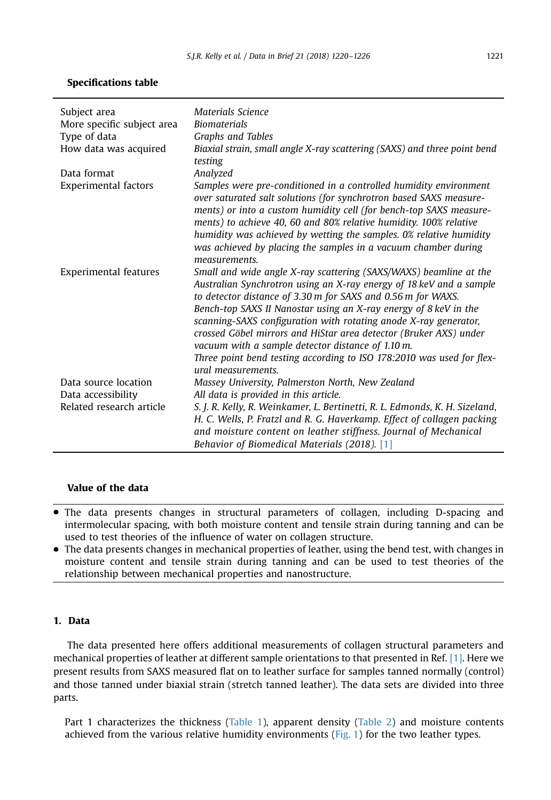| Subject area                 | Materials Science                                                                                                                                                                                                                                                                                                                                                                                                                                                                                                                                                         |
|------------------------------|---------------------------------------------------------------------------------------------------------------------------------------------------------------------------------------------------------------------------------------------------------------------------------------------------------------------------------------------------------------------------------------------------------------------------------------------------------------------------------------------------------------------------------------------------------------------------|
| More specific subject area   | <b>Biomaterials</b>                                                                                                                                                                                                                                                                                                                                                                                                                                                                                                                                                       |
| Type of data                 | Graphs and Tables                                                                                                                                                                                                                                                                                                                                                                                                                                                                                                                                                         |
| How data was acquired        | Biaxial strain, small angle X-ray scattering (SAXS) and three point bend<br>testing                                                                                                                                                                                                                                                                                                                                                                                                                                                                                       |
| Data format                  | Analyzed                                                                                                                                                                                                                                                                                                                                                                                                                                                                                                                                                                  |
| <b>Experimental factors</b>  | Samples were pre-conditioned in a controlled humidity environment<br>over saturated salt solutions (for synchrotron based SAXS measure-<br>ments) or into a custom humidity cell (for bench-top SAXS measure-<br>ments) to achieve 40, 60 and 80% relative humidity. 100% relative<br>humidity was achieved by wetting the samples. 0% relative humidity<br>was achieved by placing the samples in a vacuum chamber during<br>measurements.                                                                                                                               |
| <b>Experimental features</b> | Small and wide angle X-ray scattering (SAXS/WAXS) beamline at the<br>Australian Synchrotron using an X-ray energy of 18 keV and a sample<br>to detector distance of 3.30 m for SAXS and 0.56 m for WAXS.<br>Bench-top SAXS II Nanostar using an X-ray energy of 8 keV in the<br>scanning-SAXS configuration with rotating anode X-ray generator,<br>crossed Göbel mirrors and HiStar area detector (Bruker AXS) under<br>vacuum with a sample detector distance of 1.10 m.<br>Three point bend testing according to ISO 178:2010 was used for flex-<br>ural measurements. |
| Data source location         | Massey University, Palmerston North, New Zealand                                                                                                                                                                                                                                                                                                                                                                                                                                                                                                                          |
| Data accessibility           | All data is provided in this article.                                                                                                                                                                                                                                                                                                                                                                                                                                                                                                                                     |
| Related research article     | S. J. R. Kelly, R. Weinkamer, L. Bertinetti, R. L. Edmonds, K. H. Sizeland,<br>H. C. Wells, P. Fratzl and R. G. Haverkamp. Effect of collagen packing<br>and moisture content on leather stiffness. Journal of Mechanical<br>Behavior of Biomedical Materials (2018). [1]                                                                                                                                                                                                                                                                                                 |

## Value of the data

- The data presents changes in structural parameters of collagen, including D-spacing and intermolecular spacing, with both moisture content and tensile strain during tanning and can be used to test theories of the influence of water on collagen structure.
- The data presents changes in mechanical properties of leather, using the bend test, with changes in moisture content and tensile strain during tanning and can be used to test theories of the relationship between mechanical properties and nanostructure.

## 1. Data

The data presented here offers additional measurements of collagen structural parameters and mechanical properties of leather at different sample orientations to that presented in Ref. [\[1\].](#page-6-0) Here we present results from SAXS measured flat on to leather surface for samples tanned normally (control) and those tanned under biaxial strain (stretch tanned leather). The data sets are divided into three parts.

Part 1 characterizes the thickness ([Table 1](#page-2-0)), apparent density [\(Table 2\)](#page-2-0) and moisture contents achieved from the various relative humidity environments ([Fig. 1\)](#page-2-0) for the two leather types.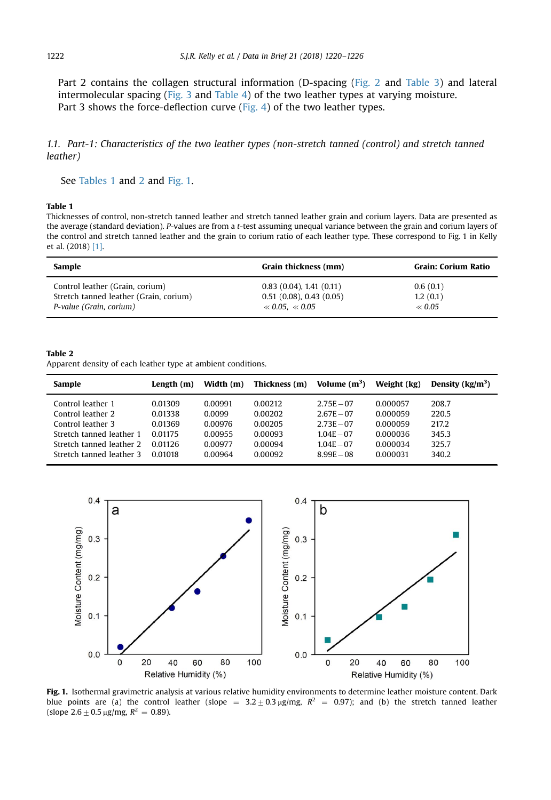<span id="page-2-0"></span>Part 2 contains the collagen structural information (D-spacing ([Fig. 2](#page-4-0) and [Table 3](#page-3-0)) and lateral intermolecular spacing [\(Fig. 3](#page-4-0) and [Table 4](#page-3-0)) of the two leather types at varying moisture. Part 3 shows the force-deflection curve [\(Fig. 4\)](#page-5-0) of the two leather types.

1.1. Part-1: Characteristics of the two leather types (non-stretch tanned (control) and stretch tanned leather)

See Tables 1 and 2 and Fig. 1.

## Table 1

Thicknesses of control, non-stretch tanned leather and stretch tanned leather grain and corium layers. Data are presented as the average (standard deviation). P-values are from a t-test assuming unequal variance between the grain and corium layers of the control and stretch tanned leather and the grain to corium ratio of each leather type. These correspond to Fig. 1 in Kelly et al. (2018) [\[1\].](#page-6-0)

| Sample                                 | Grain thickness (mm)       | Grain: Corium Ratio |  |
|----------------------------------------|----------------------------|---------------------|--|
| Control leather (Grain, corium)        | 0.83(0.04), 1.41(0.11)     | 0.6(0.1)            |  |
| Stretch tanned leather (Grain, corium) | $0.51$ (0.08), 0.43 (0.05) | 1.2(0.1)            |  |
| P-value (Grain, corium)                | $\ll 0.05. \ll 0.05$       | $\ll 0.05$          |  |

#### Table 2

Apparent density of each leather type at ambient conditions.

| Sample                   | Length (m) | Width (m) | Thickness (m) | Volume $(m^3)$ | Weight (kg) | Density $(kg/m^3)$ |
|--------------------------|------------|-----------|---------------|----------------|-------------|--------------------|
| Control leather 1        | 0.01309    | 0.00991   | 0.00212       | $2.75E - 07$   | 0.000057    | 208.7              |
| Control leather 2        | 0.01338    | 0.0099    | 0.00202       | $2.67E - 07$   | 0.000059    | 220.5              |
| Control leather 3        | 0.01369    | 0.00976   | 0.00205       | $2.73E - 07$   | 0.000059    | 217.2              |
| Stretch tanned leather 1 | 0.01175    | 0.00955   | 0.00093       | $104E - 07$    | 0.000036    | 345.3              |
| Stretch tanned leather 2 | 0.01126    | 0.00977   | 0.00094       | $1.04E - 07$   | 0.000034    | 325.7              |
| Stretch tanned leather 3 | 0.01018    | 0.00964   | 0.00092       | $8.99E - 08$   | 0.000031    | 340.2              |



Fig. 1. Isothermal gravimetric analysis at various relative humidity environments to determine leather moisture content. Dark blue points are (a) the control leather (slope =  $3.2 \pm 0.3$  µg/mg,  $R^2$  = 0.97); and (b) the stretch tanned leather (slope  $2.6+0.5 \mu$ g/mg,  $R^2 = 0.89$ ).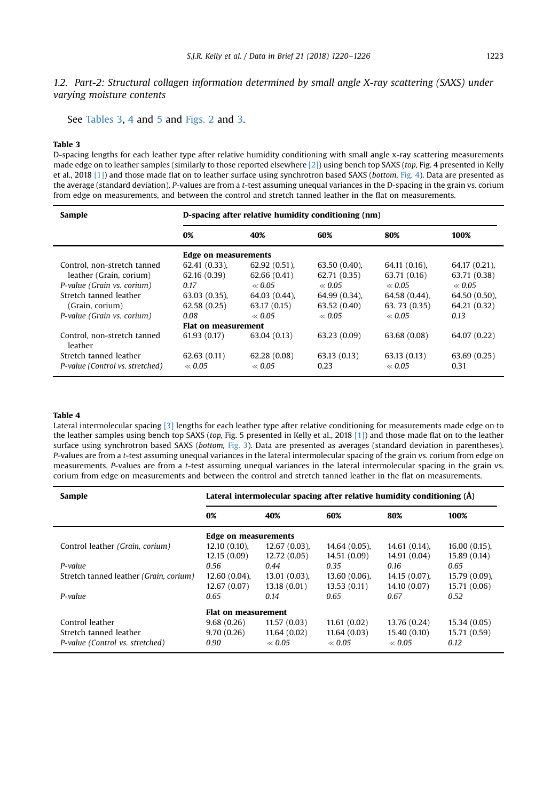<span id="page-3-0"></span>1.2. Part-2: Structural collagen information determined by small angle X-ray scattering (SAXS) under varying moisture contents

See Tables 3, 4 and [5](#page-4-0) and [Figs. 2](#page-4-0) and [3](#page-4-0).

#### Table 3

D-spacing lengths for each leather type after relative humidity conditioning with small angle x-ray scattering measurements made edge on to leather samples (similarly to those reported elsewhere [\[2\]\)](#page-6-0) using bench top SAXS (top, Fig. 4 presented in Kelly et al., 2018 [\[1\]](#page-6-0)) and those made flat on to leather surface using synchrotron based SAXS (bottom, [Fig. 4](#page-5-0)). Data are presented as the average (standard deviation). P-values are from a t-test assuming unequal variances in the D-spacing in the grain vs. corium from edge on measurements, and between the control and stretch tanned leather in the flat on measurements.

| Sample                                 | D-spacing after relative humidity conditioning (nm) |                             |                 |                 |               |  |  |
|----------------------------------------|-----------------------------------------------------|-----------------------------|-----------------|-----------------|---------------|--|--|
|                                        | 0%                                                  | 40%                         | 60%             | 80%             | 100%          |  |  |
|                                        |                                                     | <b>Edge on measurements</b> |                 |                 |               |  |  |
| Control, non-stretch tanned            | $62.41(0.33)$ ,                                     | $62.92(0.51)$ ,             | $63.50(0.40)$ , | 64.11 (0.16),   | 64.17 (0.21), |  |  |
| leather (Grain, corium)                | 62.16 (0.39)                                        | 62.66(0.41)                 | 62.71 (0.35)    | 63.71 (0.16)    | 63.71 (0.38)  |  |  |
| P-value (Grain vs. corium)             | 0.17                                                | $\ll 0.05$                  | $\ll 0.05$      | $\ll 0.05$      | $\ll 0.05$    |  |  |
| Stretch tanned leather                 | $63.03(0.35)$ ,                                     | $64.03(0.44)$ ,             | 64.99 (0.34).   | $64.58(0.44)$ , | 64.50 (0.50), |  |  |
| (Grain, corium)                        | 62.58(0.25)                                         | 63.17 (0.15)                | 63.52 (0.40)    | 63.73 (0.35)    | 64.21 (0.32)  |  |  |
| P-value (Grain vs. corium)             | 0.08                                                | $\ll 0.05$                  | $\ll 0.05$      | $\ll 0.05$      | 0.13          |  |  |
|                                        | <b>Flat on measurement</b>                          |                             |                 |                 |               |  |  |
| Control, non-stretch tanned<br>leather | 61.93(0.17)                                         | 63.04 (0.13)                | 63.23 (0.09)    | 63.68 (0.08)    | 64.07 (0.22)  |  |  |
| Stretch tanned leather                 | 62.63(0.11)                                         | 62.28(0.08)                 | 63.13(0.13)     | 63.13(0.13)     | 63.69 (0.25)  |  |  |
| P-value (Control vs. stretched)        | $\ll 0.05$                                          | $\ll 0.05$                  | 0.23            | $\ll 0.05$      | 0.31          |  |  |

### Table 4

Lateral intermolecular spacing [\[3\]](#page-6-0) lengths for each leather type after relative conditioning for measurements made edge on to the leather samples using bench top SAXS (top, Fig. 5 presented in Kelly et al., 2018 [\[1\]\)](#page-6-0) and those made flat on to the leather surface using synchrotron based SAXS (bottom, [Fig. 3\)](#page-4-0). Data are presented as averages (standard deviation in parentheses). P-values are from a t-test assuming unequal variances in the lateral intermolecular spacing of the grain vs. corium from edge on measurements. P-values are from a t-test assuming unequal variances in the lateral intermolecular spacing in the grain vs. corium from edge on measurements and between the control and stretch tanned leather in the flat on measurements.

| Sample                                 | Lateral intermolecular spacing after relative humidity conditioning (Å) |                 |                 |                 |                 |  |
|----------------------------------------|-------------------------------------------------------------------------|-----------------|-----------------|-----------------|-----------------|--|
|                                        | 0%                                                                      | 40%             | 60%             | 80%             | 100%            |  |
|                                        | <b>Edge on measurements</b>                                             |                 |                 |                 |                 |  |
| Control leather (Grain, corium)        | $12.10(0.10)$ ,                                                         | $12.67(0.03)$ , | $14.64(0.05)$ , | $14.61(0.14)$ , | $16.00(0.15)$ , |  |
|                                        | 12.15(0.09)                                                             | 12.72 (0.05)    | 14.51 (0.09)    | 14.91 (0.04)    | 15.89 (0.14)    |  |
| P-value                                | 0.56                                                                    | 0.44            | 0.35            | 0.16            | 0.65            |  |
| Stretch tanned leather (Grain, corium) | $12.60(0.04)$ ,                                                         | $13.01(0.03)$ , | $13.60(0.06)$ , | $14.15(0.07)$ , | 15.79 (0.09),   |  |
|                                        | 12.67(0.07)                                                             | 13.18(0.01)     | 13.53(0.11)     | 14.10 (0.07)    | 15.71 (0.06)    |  |
| P-value                                | 0.65                                                                    | 0.14            | 0.65            | 0.67            | 0.52            |  |
|                                        | Flat on measurement                                                     |                 |                 |                 |                 |  |
| Control leather                        | 9.68(0.26)                                                              | 11.57(0.03)     | 11.61(0.02)     | 13.76 (0.24)    | 15.34 (0.05)    |  |
| Stretch tanned leather                 | 9.70(0.26)                                                              | 11.64(0.02)     | 11.64(0.03)     | 15.40 (0.10)    | 15.71 (0.59)    |  |
| P-value (Control vs. stretched)        | 0.90                                                                    | $\ll 0.05$      | $\ll 0.05$      | $\ll 0.05$      | 0.12            |  |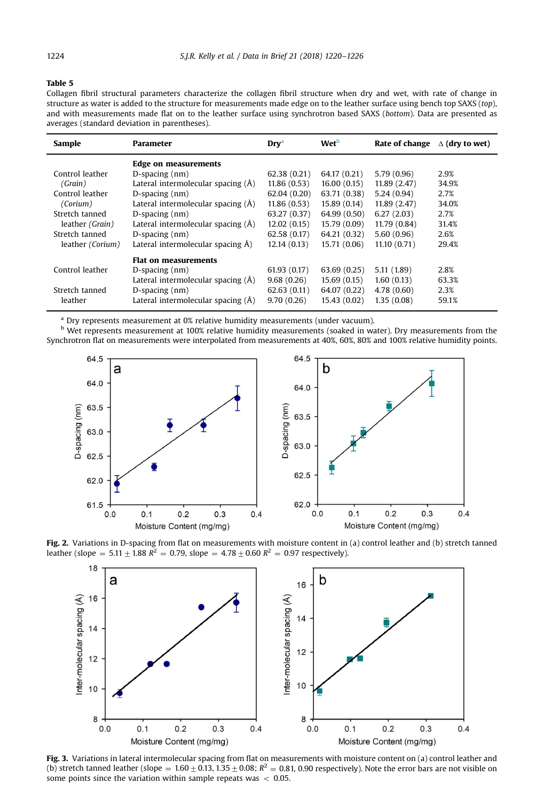#### <span id="page-4-0"></span>Table 5

Collagen fibril structural parameters characterize the collagen fibril structure when dry and wet, with rate of change in structure as water is added to the structure for measurements made edge on to the leather surface using bench top SAXS (top), and with measurements made flat on to the leather surface using synchrotron based SAXS (bottom). Data are presented as averages (standard deviation in parentheses).

| Sample           | <b>Parameter</b>                   | <b>Dry</b> <sup>a</sup> | Wet <sup>b</sup> | Rate of change | $\Delta$ (dry to wet) |
|------------------|------------------------------------|-------------------------|------------------|----------------|-----------------------|
|                  | Edge on measurements               |                         |                  |                |                       |
| Control leather  | $D$ -spacing $(nm)$                | 62.38(0.21)             | 64.17 (0.21)     | 5.79(0.96)     | 2.9%                  |
| (Grain)          | Lateral intermolecular spacing (Å) | 11.86(0.53)             | 16.00(0.15)      | 11.89 (2.47)   | 34.9%                 |
| Control leather  | $D$ -spacing $(nm)$                | 62.04(0.20)             | 63.71 (0.38)     | 5.24(0.94)     | 2.7%                  |
| (Corium)         | Lateral intermolecular spacing (Å) | 11.86(0.53)             | 15.89 (0.14)     | 11.89 (2.47)   | 34.0%                 |
| Stretch tanned   | $D$ -spacing $(nm)$                | 63.27 (0.37)            | 64.99 (0.50)     | 6.27(2.03)     | 2.7%                  |
| leather (Grain)  | Lateral intermolecular spacing (Å) | 12.02(0.15)             | 15.79 (0.09)     | 11.79 (0.84)   | 31.4%                 |
| Stretch tanned   | $D$ -spacing $(nm)$                | 62.58(0.17)             | 64.21 (0.32)     | 5.60(0.96)     | 2.6%                  |
| leather (Corium) | Lateral intermolecular spacing A)  | 12.14(0.13)             | 15.71 (0.06)     | 11.10(0.71)    | 29.4%                 |
|                  | <b>Flat on measurements</b>        |                         |                  |                |                       |
| Control leather  | $D$ -spacing $(nm)$                | 61.93(0.17)             | 63.69 (0.25)     | 5.11 (1.89)    | 2.8%                  |
|                  | Lateral intermolecular spacing (Å) | 9.68(0.26)              | 15.69(0.15)      | 1.60(0.13)     | 63.3%                 |
| Stretch tanned   | $D$ -spacing $(nm)$                | 62.63(0.11)             | 64.07 (0.22)     | 4.78(0.60)     | 2.3%                  |
| leather          | Lateral intermolecular spacing (Å) | 9.70(0.26)              | 15.43 (0.02)     | 1.35(0.08)     | 59.1%                 |

<sup>a</sup> Dry represents measurement at 0% relative humidity measurements (under vacuum).

b Wet represents measurement at 100% relative humidity measurements (soaked in water). Dry measurements from the Synchrotron flat on measurements were interpolated from measurements at 40%, 60%, 80% and 100% relative humidity points.



Fig. 2. Variations in D-spacing from flat on measurements with moisture content in (a) control leather and (b) stretch tanned leather (slope = 5.11  $\pm$  1.88  $R^2$  = 0.79, slope = 4.78  $\pm$  0.60  $R^2$  = 0.97 respectively).



Fig. 3. Variations in lateral intermolecular spacing from flat on measurements with moisture content on (a) control leather and (b) stretch tanned leather (slope =  $1.60 \pm 0.13$ ,  $1.35 \pm 0.08$ ;  $R^2 = 0.81$ , 0.90 respectively). Note the error bars are not visible on some points since the variation within sample repeats was  $< 0.05$ .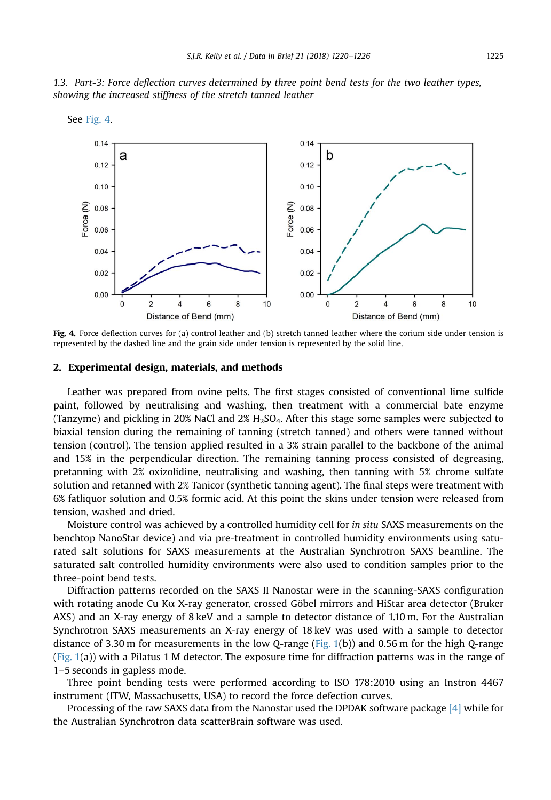<span id="page-5-0"></span>



Fig. 4. Force deflection curves for (a) control leather and (b) stretch tanned leather where the corium side under tension is represented by the dashed line and the grain side under tension is represented by the solid line.

#### 2. Experimental design, materials, and methods

Leather was prepared from ovine pelts. The first stages consisted of conventional lime sulfide paint, followed by neutralising and washing, then treatment with a commercial bate enzyme (Tanzyme) and pickling in 20% NaCl and  $2\%$  H<sub>2</sub>SO<sub>4</sub>. After this stage some samples were subjected to biaxial tension during the remaining of tanning (stretch tanned) and others were tanned without tension (control). The tension applied resulted in a 3% strain parallel to the backbone of the animal and 15% in the perpendicular direction. The remaining tanning process consisted of degreasing, pretanning with 2% oxizolidine, neutralising and washing, then tanning with 5% chrome sulfate solution and retanned with 2% Tanicor (synthetic tanning agent). The final steps were treatment with 6% fatliquor solution and 0.5% formic acid. At this point the skins under tension were released from tension, washed and dried.

Moisture control was achieved by a controlled humidity cell for in situ SAXS measurements on the benchtop NanoStar device) and via pre-treatment in controlled humidity environments using saturated salt solutions for SAXS measurements at the Australian Synchrotron SAXS beamline. The saturated salt controlled humidity environments were also used to condition samples prior to the three-point bend tests.

Diffraction patterns recorded on the SAXS II Nanostar were in the scanning-SAXS configuration with rotating anode Cu Kα X-ray generator, crossed Göbel mirrors and HiStar area detector (Bruker AXS) and an X-ray energy of 8 keV and a sample to detector distance of 1.10 m. For the Australian Synchrotron SAXS measurements an X-ray energy of 18 keV was used with a sample to detector distance of 3.30 m for measurements in the low Q-range ([Fig. 1\(](#page-2-0)b)) and 0.56 m for the high Q-range [\(Fig. 1](#page-2-0)(a)) with a Pilatus 1 M detector. The exposure time for diffraction patterns was in the range of 1–5 seconds in gapless mode.

Three point bending tests were performed according to ISO 178:2010 using an Instron 4467 instrument (ITW, Massachusetts, USA) to record the force defection curves.

Processing of the raw SAXS data from the Nanostar used the DPDAK software package [\[4\]](#page-6-0) while for the Australian Synchrotron data scatterBrain software was used.